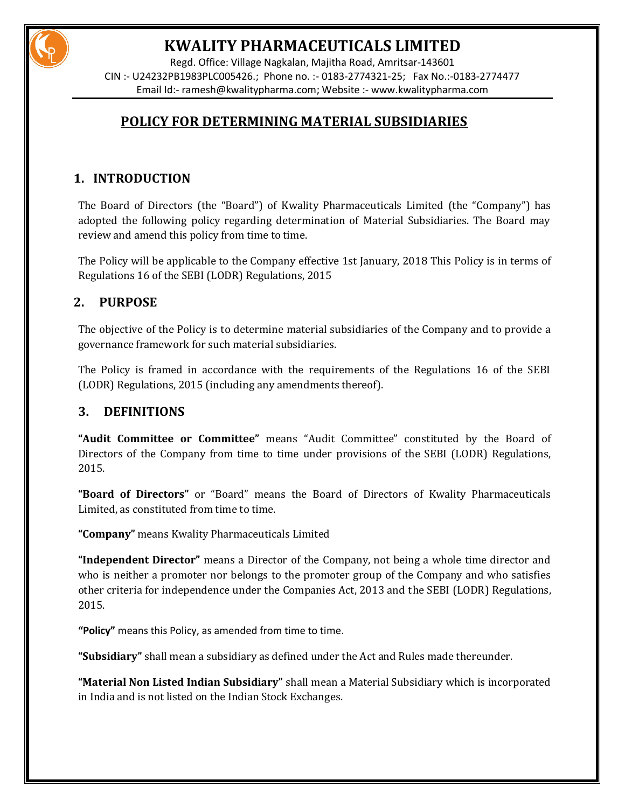

## **KWALITY PHARMACEUTICALS LIMITED**

Regd. Office: Village Nagkalan, Majitha Road, Amritsar-143601 CIN :- U24232PB1983PLC005426.; Phone no. :- 0183-2774321-25; Fax No.:-0183-2774477 Email Id:- [ramesh@kwalitypharma.com;](mailto:ramesh@kwalitypharma.com) Website :- [www.kwalitypharma.com](http://www.kwalitypharma.com/)

### **POLICY FOR DETERMINING MATERIAL SUBSIDIARIES**

### **1. INTRODUCTION**

The Board of Directors (the "Board") of Kwality Pharmaceuticals Limited (the "Company") has adopted the following policy regarding determination of Material Subsidiaries. The Board may review and amend this policy from time to time.

The Policy will be applicable to the Company effective 1st January, 2018 This Policy is in terms of Regulations 16 of the SEBI (LODR) Regulations, 2015

### **2. PURPOSE**

The objective of the Policy is to determine material subsidiaries of the Company and to provide a governance framework for such material subsidiaries.

The Policy is framed in accordance with the requirements of the Regulations 16 of the SEBI (LODR) Regulations, 2015 (including any amendments thereof).

### **3. DEFINITIONS**

**"Audit Committee or Committee"** means "Audit Committee" constituted by the Board of Directors of the Company from time to time under provisions of the SEBI (LODR) Regulations, 2015.

**"Board of Directors"** or "Board" means the Board of Directors of Kwality Pharmaceuticals Limited, as constituted from time to time.

**"Company"** means Kwality Pharmaceuticals Limited

**"Independent Director"** means a Director of the Company, not being a whole time director and who is neither a promoter nor belongs to the promoter group of the Company and who satisfies other criteria for independence under the Companies Act, 2013 and the SEBI (LODR) Regulations, 2015.

**"Policy"** means this Policy, as amended from time to time.

**"Subsidiary"** shall mean a subsidiary as defined under the Act and Rules made thereunder.

**"Material Non Listed Indian Subsidiary"** shall mean a Material Subsidiary which is incorporated in India and is not listed on the Indian Stock Exchanges.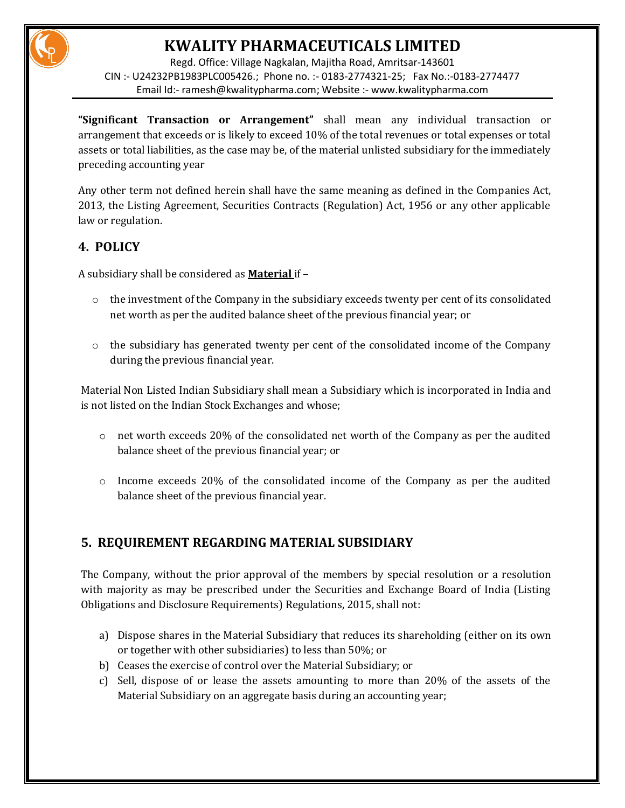# **KWALITY PHARMACEUTICALS LIMITED**

Regd. Office: Village Nagkalan, Majitha Road, Amritsar-143601 CIN :- U24232PB1983PLC005426.; Phone no. :- 0183-2774321-25; Fax No.:-0183-2774477 Email Id:- [ramesh@kwalitypharma.com;](mailto:ramesh@kwalitypharma.com) Website :- [www.kwalitypharma.com](http://www.kwalitypharma.com/)

**"Significant Transaction or Arrangement"** shall mean any individual transaction or arrangement that exceeds or is likely to exceed 10% of the total revenues or total expenses or total assets or total liabilities, as the case may be, of the material unlisted subsidiary for the immediately preceding accounting year

Any other term not defined herein shall have the same meaning as defined in the Companies Act, 2013, the Listing Agreement, Securities Contracts (Regulation) Act, 1956 or any other applicable law or regulation.

### **4. POLICY**

A subsidiary shall be considered as **Material** if –

- $\circ$  the investment of the Company in the subsidiary exceeds twenty per cent of its consolidated net worth as per the audited balance sheet of the previous financial year; or
- $\circ$  the subsidiary has generated twenty per cent of the consolidated income of the Company during the previous financial year.

Material Non Listed Indian Subsidiary shall mean a Subsidiary which is incorporated in India and is not listed on the Indian Stock Exchanges and whose;

- $\circ$  net worth exceeds 20% of the consolidated net worth of the Company as per the audited balance sheet of the previous financial year; or
- $\circ$  Income exceeds 20% of the consolidated income of the Company as per the audited balance sheet of the previous financial year.

### **5. REQUIREMENT REGARDING MATERIAL SUBSIDIARY**

The Company, without the prior approval of the members by special resolution or a resolution with majority as may be prescribed under the Securities and Exchange Board of India (Listing Obligations and Disclosure Requirements) Regulations, 2015, shall not:

- a) Dispose shares in the Material Subsidiary that reduces its shareholding (either on its own or together with other subsidiaries) to less than 50%; or
- b) Ceases the exercise of control over the Material Subsidiary; or
- c) Sell, dispose of or lease the assets amounting to more than 20% of the assets of the Material Subsidiary on an aggregate basis during an accounting year;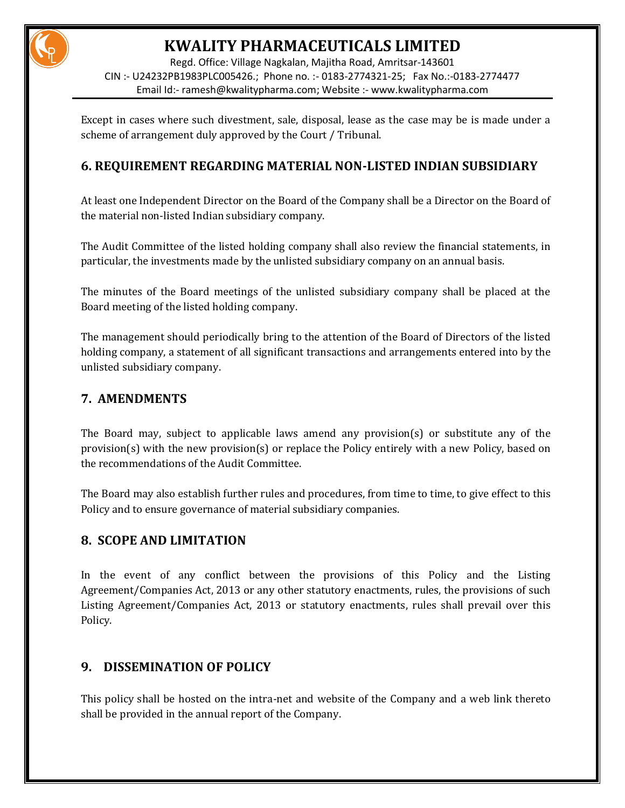

Regd. Office: Village Nagkalan, Majitha Road, Amritsar-143601 CIN :- U24232PB1983PLC005426.; Phone no. :- 0183-2774321-25; Fax No.:-0183-2774477 Email Id:- [ramesh@kwalitypharma.com;](mailto:ramesh@kwalitypharma.com) Website :- [www.kwalitypharma.com](http://www.kwalitypharma.com/)

Except in cases where such divestment, sale, disposal, lease as the case may be is made under a scheme of arrangement duly approved by the Court / Tribunal.

#### **6. REQUIREMENT REGARDING MATERIAL NON-LISTED INDIAN SUBSIDIARY**

At least one Independent Director on the Board of the Company shall be a Director on the Board of the material non-listed Indian subsidiary company.

The Audit Committee of the listed holding company shall also review the financial statements, in particular, the investments made by the unlisted subsidiary company on an annual basis.

The minutes of the Board meetings of the unlisted subsidiary company shall be placed at the Board meeting of the listed holding company.

The management should periodically bring to the attention of the Board of Directors of the listed holding company, a statement of all significant transactions and arrangements entered into by the unlisted subsidiary company.

#### **7. AMENDMENTS**

The Board may, subject to applicable laws amend any provision(s) or substitute any of the provision(s) with the new provision(s) or replace the Policy entirely with a new Policy, based on the recommendations of the Audit Committee.

The Board may also establish further rules and procedures, from time to time, to give effect to this Policy and to ensure governance of material subsidiary companies.

#### **8. SCOPE AND LIMITATION**

In the event of any conflict between the provisions of this Policy and the Listing Agreement/Companies Act, 2013 or any other statutory enactments, rules, the provisions of such Listing Agreement/Companies Act, 2013 or statutory enactments, rules shall prevail over this Policy.

#### **9. DISSEMINATION OF POLICY**

This policy shall be hosted on the intra-net and website of the Company and a web link thereto shall be provided in the annual report of the Company.